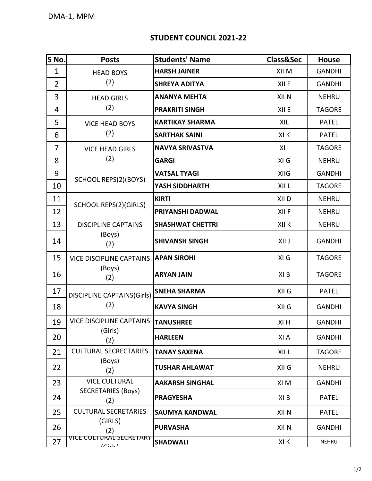## **STUDENT COUNCIL 2021-22**

| S No.          | <b>Posts</b>                                         | <b>Students' Name</b>   | <b>Class&amp;Sec</b> | <b>House</b>  |
|----------------|------------------------------------------------------|-------------------------|----------------------|---------------|
| $\mathbf{1}$   | <b>HEAD BOYS</b>                                     | <b>HARSH JAINER</b>     | XII M                | <b>GANDHI</b> |
| $\overline{2}$ | (2)                                                  | <b>SHREYA ADITYA</b>    | XII E                | <b>GANDHI</b> |
| 3              | <b>HEAD GIRLS</b><br>(2)                             | <b>ANANYA MEHTA</b>     | XII N                | <b>NEHRU</b>  |
| 4              |                                                      | <b>PRAKRITI SINGH</b>   | XII E                | <b>TAGORE</b> |
| 5              | <b>VICE HEAD BOYS</b><br>(2)                         | <b>KARTIKAY SHARMA</b>  | XIL                  | <b>PATEL</b>  |
| 6              |                                                      | <b>SARTHAK SAINI</b>    | XI K                 | <b>PATEL</b>  |
| $\overline{7}$ | <b>VICE HEAD GIRLS</b><br>(2)                        | <b>NAVYA SRIVASTVA</b>  | X11                  | <b>TAGORE</b> |
| 8              |                                                      | <b>GARGI</b>            | XI G                 | <b>NEHRU</b>  |
| 9              | SCHOOL REPS(2)(BOYS)                                 | <b>VATSAL TYAGI</b>     | <b>XIIG</b>          | <b>GANDHI</b> |
| 10             |                                                      | YASH SIDDHARTH          | XII L                | <b>TAGORE</b> |
| 11             | <b>SCHOOL REPS(2)(GIRLS)</b>                         | <b>KIRTI</b>            | XII <sub>D</sub>     | <b>NEHRU</b>  |
| 12             |                                                      | PRIYANSHI DADWAL        | XII F                | <b>NEHRU</b>  |
| 13             | <b>DISCIPLINE CAPTAINS</b><br>(Boys)<br>(2)          | <b>SHASHWAT CHETTRI</b> | XII K                | <b>NEHRU</b>  |
| 14             |                                                      | <b>SHIVANSH SINGH</b>   | XII J                | <b>GANDHI</b> |
| 15             | <b>VICE DISCIPLINE CAPTAINS</b><br>(Boys)<br>(2)     | <b>APAN SIROHI</b>      | XI G                 | <b>TAGORE</b> |
| 16             |                                                      | <b>ARYAN JAIN</b>       | XI B                 | <b>TAGORE</b> |
| 17             | <b>DISCIPLINE CAPTAINS(Girls)</b>                    | <b>SNEHA SHARMA</b>     | XII G                | <b>PATEL</b>  |
| 18             | (2)                                                  | <b>KAVYA SINGH</b>      | XII G                | <b>GANDHI</b> |
| 19             | VICE DISCIPLINE CAPTAINS TANUSHREE<br>(Girls)<br>(2) |                         | XI H                 | <b>GANDHI</b> |
| 20             |                                                      | <b>HARLEEN</b>          | XI A                 | <b>GANDHI</b> |
| 21             | <b>CULTURAL SECRECTARIES</b>                         | <b>TANAY SAXENA</b>     | XII L                | <b>TAGORE</b> |
| 22             | (Boys)<br>(2)                                        | TUSHAR AHLAWAT          | XII G                | <b>NEHRU</b>  |
| 23             | <b>VICE CULTURAL</b>                                 | <b>AAKARSH SINGHAL</b>  | XI M                 | <b>GANDHI</b> |
| 24             | <b>SECRETARIES (Boys)</b><br>(2)                     | <b>PRAGYESHA</b>        | XI B                 | <b>PATEL</b>  |
| 25             | <b>CULTURAL SECRETARIES</b>                          | <b>SAUMYA KANDWAL</b>   | XII N                | <b>PATEL</b>  |
| 26             | (GIRLS)<br>(2)                                       | <b>PURVASHA</b>         | XII N                | <b>GANDHI</b> |
| 27             | <u>VICE CULTURAL SECRETARY</u><br> Cir c             | <b>SHADWALI</b>         | XI K                 | NEHRU         |